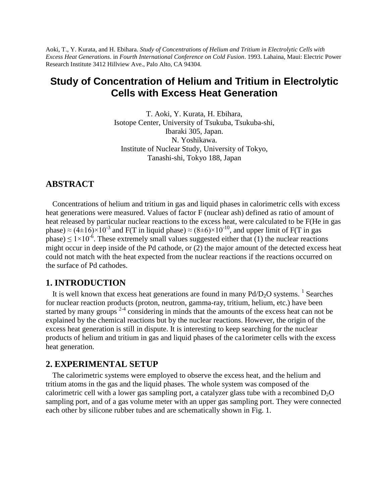Aoki, T., Y. Kurata, and H. Ebihara. *Study of Concentrations of Helium and Tritium in Electrolytic Cells with Excess Heat Generations*. in *Fourth International Conference on Cold Fusion*. 1993. Lahaina, Maui: Electric Power Research Institute 3412 Hillview Ave., Palo Alto, CA 94304.

# **Study of Concentration of Helium and Tritium in Electrolytic Cells with Excess Heat Generation**

T. Aoki, Y. Kurata, H. Ebihara, Isotope Center, University of Tsukuba, Tsukuba-shi, Ibaraki 305, Japan. N. Yoshikawa. Institute of Nuclear Study, University of Tokyo, Tanashi-shi, Tokyo 188, Japan

# **ABSTRACT**

Concentrations of helium and tritium in gas and liquid phases in calorimetric cells with excess heat generations were measured. Values of factor F (nuclear ash) defined as ratio of amount of heat released by particular nuclear reactions to the excess heat, were calculated to be F(He in gas phase)  $\approx$  (4±16)×10<sup>-3</sup> and F(T in liquid phase)  $\approx$  (8±6)×10<sup>-10</sup>, and upper limit of F(T in gas phase)  $\leq 1 \times 10^{-6}$ . These extremely small values suggested either that (1) the nuclear reactions might occur in deep inside of the Pd cathode, or (2) the major amount of the detected excess heat could not match with the heat expected from the nuclear reactions if the reactions occurred on the surface of Pd cathodes.

# **1. INTRODUCTION**

It is well known that excess heat generations are found in many  $Pd/D_2O$  systems. <sup>1</sup> Searches for nuclear reaction products (proton, neutron, gamma-ray, tritium, helium, etc.) have been started by many groups  $2-4$  considering in minds that the amounts of the excess heat can not be explained by the chemical reactions but by the nuclear reactions. However, the origin of the excess heat generation is still in dispute. It is interesting to keep searching for the nuclear products of helium and tritium in gas and liquid phases of the ca1orimeter cells with the excess heat generation.

### **2. EXPERIMENTAL SETUP**

The calorimetric systems were employed to observe the excess heat, and the helium and tritium atoms in the gas and the liquid phases. The whole system was composed of the calorimetric cell with a lower gas sampling port, a catalyzer glass tube with a recombined  $D_2O$ sampling port, and of a gas volume meter with an upper gas sampling port. They were connected each other by silicone rubber tubes and are schematically shown in Fig. 1.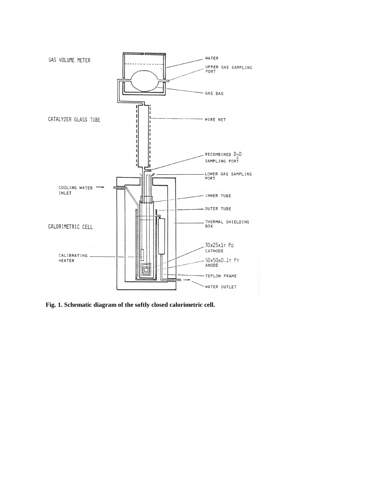

**Fig. 1. Schematic diagram of the softly closed calorimetric cell.**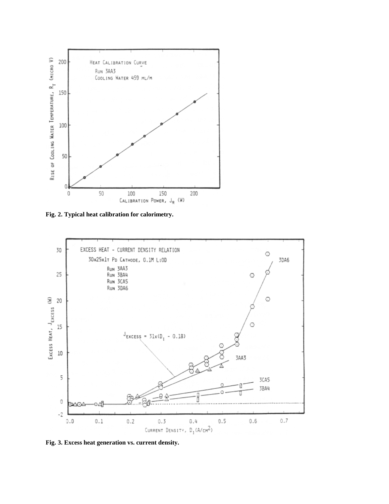

**Fig. 2. Typical heat calibration for calorimetry.**



**Fig. 3. Excess heat generation vs. current density.**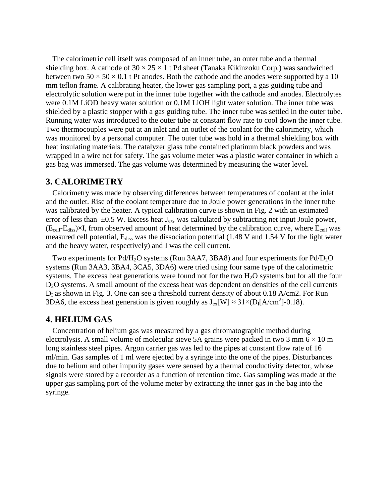The calorimetric cell itself was composed of an inner tube, an outer tube and a thermal shielding box. A cathode of  $30 \times 25 \times 1$  t Pd sheet (Tanaka Kikinzoku Corp.) was sandwiched between two  $50 \times 50 \times 0.1$  t Pt anodes. Both the cathode and the anodes were supported by a 10 mm teflon frame. A calibrating heater, the lower gas sampling port, a gas guiding tube and electrolytic solution were put in the inner tube together with the cathode and anodes. Electrolytes were 0.1M LiOD heavy water solution or 0.1M LiOH light water solution. The inner tube was shielded by a plastic stopper with a gas guiding tube. The inner tube was settled in the outer tube. Running water was introduced to the outer tube at constant flow rate to cool down the inner tube. Two thermocouples were put at an inlet and an outlet of the coolant for the calorimetry, which was monitored by a personal computer. The outer tube was hold in a thermal shielding box with heat insulating materials. The catalyzer glass tube contained platinum black powders and was wrapped in a wire net for safety. The gas volume meter was a plastic water container in which a gas bag was immersed. The gas volume was determined by measuring the water level.

# **3. CALORIMETRY**

Calorimetry was made by observing differences between temperatures of coolant at the inlet and the outlet. Rise of the coolant temperature due to Joule power generations in the inner tube was calibrated by the heater. A typical calibration curve is shown in Fig. 2 with an estimated error of less than  $\pm 0.5$  W. Excess heat J<sub>ex</sub>, was calculated by subtracting net input Joule power,  $(E_{cell}-E_{diss})\times I$ , from observed amount of heat determined by the calibration curve, where  $E_{cell}$  was measured cell potential, E<sub>diss</sub> was the dissociation potential (1.48 V and 1.54 V for the light water and the heavy water, respectively) and I was the cell current.

Two experiments for Pd/H<sub>2</sub>O systems (Run 3AA7, 3BA8) and four experiments for Pd/D<sub>2</sub>O systems (Run 3AA3, 3BA4, 3CA5, 3DA6) were tried using four same type of the calorimetric systems. The excess heat generations were found not for the two H<sub>2</sub>O systems but for all the four D<sub>2</sub>O systems. A small amount of the excess heat was dependent on densities of the cell currents  $D<sub>I</sub>$  as shown in Fig. 3. One can see a threshold current density of about 0.18 A/cm2. For Run 3DA6, the excess heat generation is given roughly as  $J_{ex}[W] \approx 31 \times (D_I[A/cm^2]-0.18)$ .

# **4. HELIUM GAS**

Concentration of helium gas was measured by a gas chromatographic method during electrolysis. A small volume of molecular sieve 5A grains were packed in two 3 mm  $6 \times 10$  m long stainless steel pipes. Argon carrier gas was led to the pipes at constant flow rate of 16 ml/min. Gas samples of 1 ml were ejected by a syringe into the one of the pipes. Disturbances due to helium and other impurity gases were sensed by a thermal conductivity detector, whose signals were stored by a recorder as a function of retention time. Gas sampling was made at the upper gas sampling port of the volume meter by extracting the inner gas in the bag into the syringe.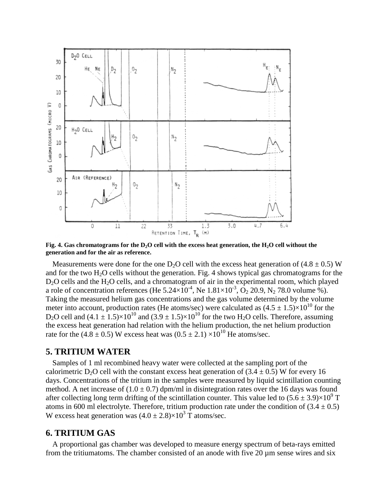

**Fig. 4. Gas chromatograms for the D2O cell with the excess heat generation, the H2O cell without the generation and for the air as reference.**

Measurements were done for the one D<sub>2</sub>O cell with the excess heat generation of (4.8  $\pm$  0.5) W and for the two  $H_2O$  cells without the generation. Fig. 4 shows typical gas chromatograms for the  $D_2O$  cells and the  $H_2O$  cells, and a chromatogram of air in the experimental room, which played a role of concentration references (He  $5.24 \times 10^{-4}$ , Ne  $1.81 \times 10^{-3}$ ,  $O_2$  20.9, N<sub>2</sub> 78.0 volume %). Taking the measured helium gas concentrations and the gas volume determined by the volume meter into account, production rates (He atoms/sec) were calculated as  $(4.5 \pm 1.5) \times 10^{10}$  for the D<sub>2</sub>O cell and  $(4.1 \pm 1.5) \times 10^{10}$  and  $(3.9 \pm 1.5) \times 10^{10}$  for the two H<sub>2</sub>O cells. Therefore, assuming the excess heat generation had relation with the helium production, the net helium production rate for the (4.8  $\pm$  0.5) W excess heat was (0.5  $\pm$  2.1)  $\times$ 10<sup>10</sup> He atoms/sec.

#### **5. TRITIUM WATER**

Samples of 1 ml recombined heavy water were collected at the sampling port of the calorimetric D<sub>2</sub>O cell with the constant excess heat generation of  $(3.4 \pm 0.5)$  W for every 16 days. Concentrations of the tritium in the samples were measured by liquid scintillation counting method. A net increase of  $(1.0 \pm 0.7)$  dpm/ml in disintegration rates over the 16 days was found after collecting long term drifting of the scintillation counter. This value led to  $(5.6 \pm 3.9) \times 10^9$  T atoms in 600 ml electrolyte. Therefore, tritium production rate under the condition of  $(3.4 \pm 0.5)$ W excess heat generation was  $(4.0 \pm 2.8) \times 10^3$  T atoms/sec.

# **6. TRITIUM GAS**

A proportional gas chamber was developed to measure energy spectrum of beta-rays emitted from the tritiumatoms. The chamber consisted of an anode with five 20  $\mu$ m sense wires and six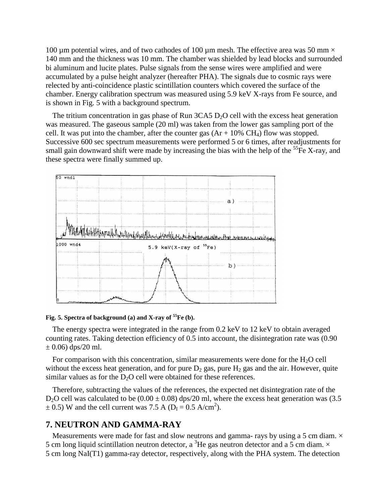100 µm potential wires, and of two cathodes of 100 µm mesh. The effective area was 50 mm  $\times$ 140 mm and the thickness was 10 mm. The chamber was shielded by lead blocks and surrounded bi aluminum and lucite plates. Pulse signals from the sense wires were amplified and were accumulated by a pulse height analyzer (hereafter PHA). The signals due to cosmic rays were relected by anti-coincidence plastic scintillation counters which covered the surface of the chamber. Energy calibration spectrum was measured using 5.9 keV X-rays from Fe source, and is shown in Fig. 5 with a background spectrum.

The tritium concentration in gas phase of Run  $3CAS D<sub>2</sub>O$  cell with the excess heat generation was measured. The gaseous sample (20 ml) was taken from the lower gas sampling port of the cell. It was put into the chamber, after the counter gas  $(Ar + 10\% \text{ CH}_4)$  flow was stopped. Successive 600 sec spectrum measurements were performed 5 or 6 times, after readjustments for small gain downward shift were made by increasing the bias with the help of the  ${}^{55}Fe$  X-ray, and these spectra were finally summed up.



#### **Fig. 5. Spectra of background (a) and X-ray of <sup>55</sup>Fe (b).**

The energy spectra were integrated in the range from 0.2 keV to 12 keV to obtain averaged counting rates. Taking detection efficiency of 0.5 into account, the disintegration rate was (0.90  $\pm$  0.06) dps/20 ml.

For comparison with this concentration, similar measurements were done for the  $H_2O$  cell without the excess heat generation, and for pure  $D_2$  gas, pure  $H_2$  gas and the air. However, quite similar values as for the  $D<sub>2</sub>O$  cell were obtained for these references.

Therefore, subtracting the values of the references, the expected net disintegration rate of the D<sub>2</sub>O cell was calculated to be  $(0.00 \pm 0.08)$  dps/20 ml, where the excess heat generation was (3.5  $\pm$  0.5) W and the cell current was 7.5 A (D<sub>I</sub> = 0.5 A/cm<sup>2</sup>).

# **7. NEUTRON AND GAMMA-RAY**

Measurements were made for fast and slow neutrons and gamma- rays by using a 5 cm diam.  $\times$ 5 cm long liquid scintillation neutron detector, a <sup>3</sup>He gas neutron detector and a 5 cm diam.  $\times$ 5 cm long NaI(T1) gamma-ray detector, respectively, along with the PHA system. The detection